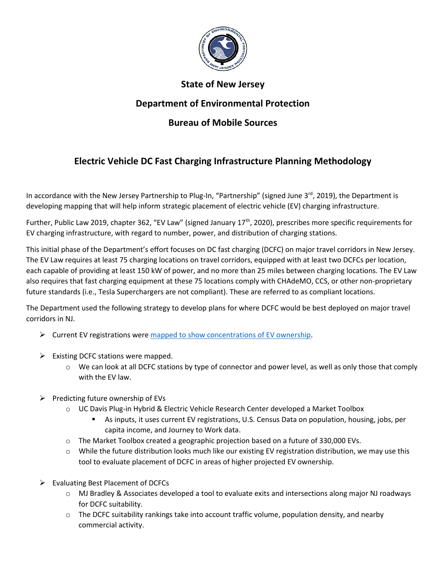

## **State of New Jersey**

## **Department of Environmental Protection**

## **Bureau of Mobile Sources**

## **Electric Vehicle DC Fast Charging Infrastructure Planning Methodology**

In accordance with the New Jersey Partnership to Plug-In, "Partnership" (signed June  $3^{rd}$ , 2019), the Department is developing mapping that will help inform strategic placement of electric vehicle (EV) charging infrastructure.

Further, Public Law 2019, chapter 362, "EV Law" (signed January 17<sup>th</sup>, 2020), prescribes more specific requirements for EV charging infrastructure, with regard to number, power, and distribution of charging stations.

This initial phase of the Department's effort focuses on DC fast charging (DCFC) on major travel corridors in New Jersey. The EV Law requires at least 75 charging locations on travel corridors, equipped with at least two DCFCs per location, each capable of providing at least 150 kW of power, and no more than 25 miles between charging locations. The EV Law also requires that fast charging equipment at these 75 locations comply with CHAdeMO, CCS, or other non-proprietary future standards (i.e., Tesla Superchargers are not compliant). These are referred to as compliant locations.

The Department used the following strategy to develop plans for where DCFC would be best deployed on major travel corridors in NJ.

- ➢ Current EV registrations were [mapped to show concentrations of EV ownership.](https://drivegreen.nj.gov/dg-electric-vehicles-basics.html)
- $\triangleright$  Existing DCFC stations were mapped.
	- $\circ$  We can look at all DCFC stations by type of connector and power level, as well as only those that comply with the EV law.
- $\triangleright$  Predicting future ownership of EVs
	- o UC Davis Plug-in Hybrid & Electric Vehicle Research Center developed a Market Toolbox
		- As inputs, it uses current EV registrations, U.S. Census Data on population, housing, jobs, per capita income, and Journey to Work data.
	- o The Market Toolbox created a geographic projection based on a future of 330,000 EVs.
	- $\circ$  While the future distribution looks much like our existing EV registration distribution, we may use this tool to evaluate placement of DCFC in areas of higher projected EV ownership.
- ➢ Evaluating Best Placement of DCFCs
	- o MJ Bradley & Associates developed a tool to evaluate exits and intersections along major NJ roadways for DCFC suitability.
	- $\circ$  The DCFC suitability rankings take into account traffic volume, population density, and nearby commercial activity.